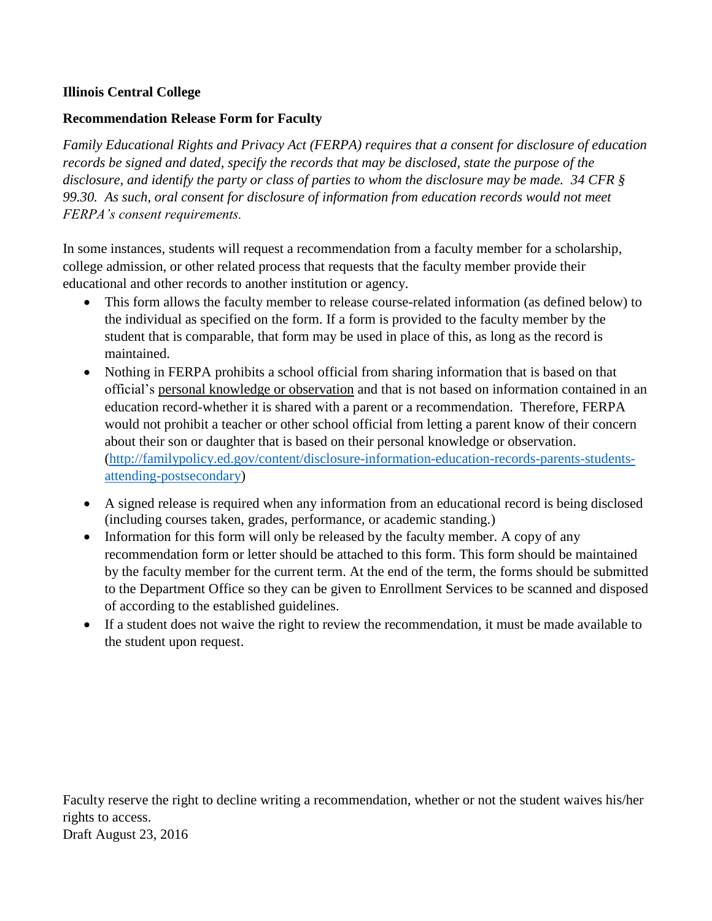## **Illinois Central College**

## **Recommendation Release Form for Faculty**

*Family Educational Rights and Privacy Act (FERPA) requires that a consent for disclosure of education records be signed and dated, specify the records that may be disclosed, state the purpose of the disclosure, and identify the party or class of parties to whom the disclosure may be made. 34 CFR § 99.30. As such, oral consent for disclosure of information from education records would not meet FERPA's consent requirements.*

In some instances, students will request a recommendation from a faculty member for a scholarship, college admission, or other related process that requests that the faculty member provide their educational and other records to another institution or agency.

- This form allows the faculty member to release course-related information (as defined below) to the individual as specified on the form. If a form is provided to the faculty member by the student that is comparable, that form may be used in place of this, as long as the record is maintained.
- Nothing in FERPA prohibits a school official from sharing information that is based on that official's personal knowledge or observation and that is not based on information contained in an education record-whether it is shared with a parent or a recommendation. Therefore, FERPA would not prohibit a teacher or other school official from letting a parent know of their concern about their son or daughter that is based on their personal knowledge or observation. [\(http://familypolicy.ed.gov/content/disclosure-information-education-records-parents-students](http://familypolicy.ed.gov/content/disclosure-information-education-records-parents-students-attending-postsecondary)[attending-postsecondary\)](http://familypolicy.ed.gov/content/disclosure-information-education-records-parents-students-attending-postsecondary)
- A signed release is required when any information from an educational record is being disclosed (including courses taken, grades, performance, or academic standing.)
- Information for this form will only be released by the faculty member. A copy of any recommendation form or letter should be attached to this form. This form should be maintained by the faculty member for the current term. At the end of the term, the forms should be submitted to the Department Office so they can be given to Enrollment Services to be scanned and disposed of according to the established guidelines.
- If a student does not waive the right to review the recommendation, it must be made available to the student upon request.

Faculty reserve the right to decline writing a recommendation, whether or not the student waives his/her rights to access. Draft August 23, 2016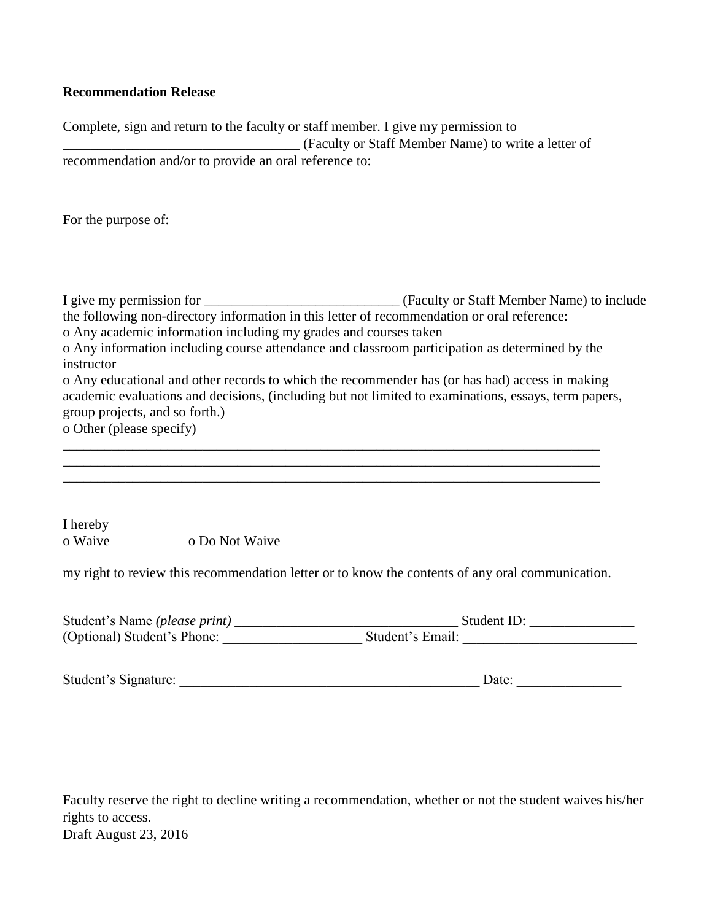## **Recommendation Release**

Complete, sign and return to the faculty or staff member. I give my permission to \_\_\_\_\_\_\_\_\_\_\_\_\_\_\_\_\_\_\_\_\_\_\_\_\_\_\_\_\_\_\_\_\_\_ (Faculty or Staff Member Name) to write a letter of recommendation and/or to provide an oral reference to:

For the purpose of:

I give my permission for \_\_\_\_\_\_\_\_\_\_\_\_\_\_\_\_\_\_\_\_\_\_\_\_\_\_\_\_ (Faculty or Staff Member Name) to include the following non-directory information in this letter of recommendation or oral reference: o Any academic information including my grades and courses taken o Any information including course attendance and classroom participation as determined by the instructor o Any educational and other records to which the recommender has (or has had) access in making academic evaluations and decisions, (including but not limited to examinations, essays, term papers, group projects, and so forth.) o Other (please specify) \_\_\_\_\_\_\_\_\_\_\_\_\_\_\_\_\_\_\_\_\_\_\_\_\_\_\_\_\_\_\_\_\_\_\_\_\_\_\_\_\_\_\_\_\_\_\_\_\_\_\_\_\_\_\_\_\_\_\_\_\_\_\_\_\_\_\_\_\_\_\_\_\_\_\_\_\_ \_\_\_\_\_\_\_\_\_\_\_\_\_\_\_\_\_\_\_\_\_\_\_\_\_\_\_\_\_\_\_\_\_\_\_\_\_\_\_\_\_\_\_\_\_\_\_\_\_\_\_\_\_\_\_\_\_\_\_\_\_\_\_\_\_\_\_\_\_\_\_\_\_\_\_\_\_

I hereby o Waive o Do Not Waive

my right to review this recommendation letter or to know the contents of any oral communication.

\_\_\_\_\_\_\_\_\_\_\_\_\_\_\_\_\_\_\_\_\_\_\_\_\_\_\_\_\_\_\_\_\_\_\_\_\_\_\_\_\_\_\_\_\_\_\_\_\_\_\_\_\_\_\_\_\_\_\_\_\_\_\_\_\_\_\_\_\_\_\_\_\_\_\_\_\_

| Student's Name (please print) | Student ID:      |
|-------------------------------|------------------|
| (Optional) Student's Phone:   | Student's Email: |

| Student's Signature: |
|----------------------|
|----------------------|

Faculty reserve the right to decline writing a recommendation, whether or not the student waives his/her rights to access. Draft August 23, 2016